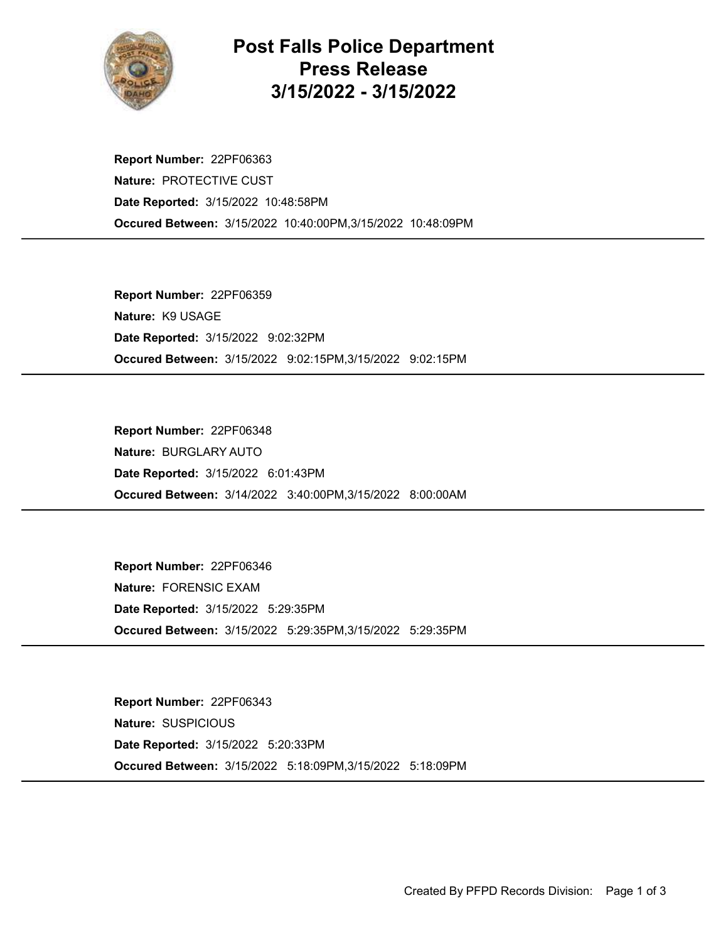

## Post Falls Police Department Press Release 3/15/2022 - 3/15/2022

Occured Between: 3/15/2022 10:40:00PM,3/15/2022 10:48:09PM Report Number: 22PF06363 Nature: PROTECTIVE CUST Date Reported: 3/15/2022 10:48:58PM

Occured Between: 3/15/2022 9:02:15PM,3/15/2022 9:02:15PM Report Number: 22PF06359 Nature: K9 USAGE Date Reported: 3/15/2022 9:02:32PM

Occured Between: 3/14/2022 3:40:00PM,3/15/2022 8:00:00AM Report Number: 22PF06348 Nature: BURGLARY AUTO Date Reported: 3/15/2022 6:01:43PM

Occured Between: 3/15/2022 5:29:35PM,3/15/2022 5:29:35PM Report Number: 22PF06346 Nature: FORENSIC EXAM Date Reported: 3/15/2022 5:29:35PM

Occured Between: 3/15/2022 5:18:09PM,3/15/2022 5:18:09PM Report Number: 22PF06343 Nature: SUSPICIOUS Date Reported: 3/15/2022 5:20:33PM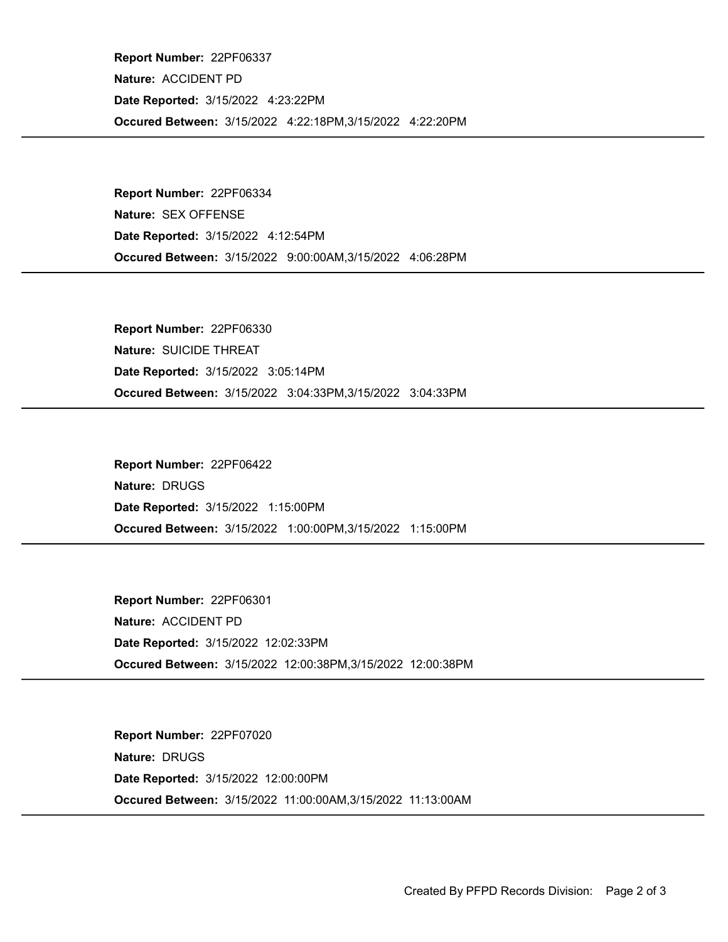Occured Between: 3/15/2022 4:22:18PM,3/15/2022 4:22:20PM Report Number: 22PF06337 Nature: ACCIDENT PD Date Reported: 3/15/2022 4:23:22PM

Occured Between: 3/15/2022 9:00:00AM,3/15/2022 4:06:28PM Report Number: 22PF06334 Nature: SEX OFFENSE Date Reported: 3/15/2022 4:12:54PM

Occured Between: 3/15/2022 3:04:33PM,3/15/2022 3:04:33PM Report Number: 22PF06330 Nature: SUICIDE THREAT Date Reported: 3/15/2022 3:05:14PM

Occured Between: 3/15/2022 1:00:00PM,3/15/2022 1:15:00PM Report Number: 22PF06422 Nature: DRUGS Date Reported: 3/15/2022 1:15:00PM

Occured Between: 3/15/2022 12:00:38PM,3/15/2022 12:00:38PM Report Number: 22PF06301 Nature: ACCIDENT PD Date Reported: 3/15/2022 12:02:33PM

Occured Between: 3/15/2022 11:00:00AM,3/15/2022 11:13:00AM Report Number: 22PF07020 Nature: DRUGS Date Reported: 3/15/2022 12:00:00PM